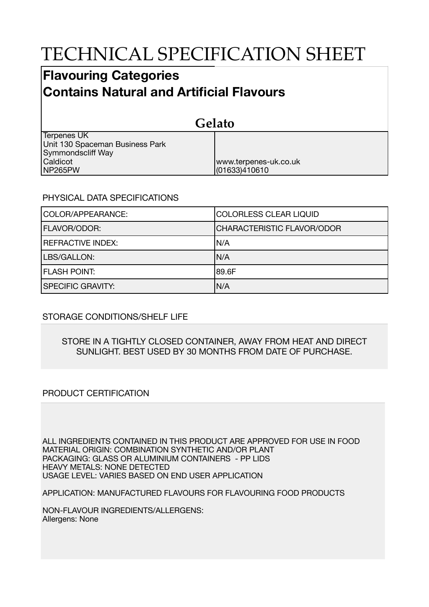# TECHNICAL SPECIFICATION SHEET

## **Flavouring Categories Contains Natural and Artificial Flavours**

| Gelato                                                                     |                                        |  |
|----------------------------------------------------------------------------|----------------------------------------|--|
| <b>Terpenes UK</b><br>Unit 130 Spaceman Business Park<br>Symmondscliff Way |                                        |  |
| Caldicot<br>NP265PW                                                        | www.terpenes-uk.co.uk<br>(01633)410610 |  |

### PHYSICAL DATA SPECIFICATIONS

| COLOR/APPEARANCE:        | <b>COLORLESS CLEAR LIQUID</b>     |
|--------------------------|-----------------------------------|
| <b>FLAVOR/ODOR:</b>      | <b>CHARACTERISTIC FLAVOR/ODOR</b> |
| <b>REFRACTIVE INDEX:</b> | IN/A                              |
| LBS/GALLON:              | IN/A                              |
| <b>FLASH POINT:</b>      | 189.6F                            |
| <b>SPECIFIC GRAVITY:</b> | N/A                               |

### STORAGE CONDITIONS/SHELF LIFE

#### STORE IN A TIGHTLY CLOSED CONTAINER, AWAY FROM HEAT AND DIRECT SUNLIGHT. BEST USED BY 30 MONTHS FROM DATE OF PURCHASE.

### PRODUCT CERTIFICATION

ALL INGREDIENTS CONTAINED IN THIS PRODUCT ARE APPROVED FOR USE IN FOOD MATERIAL ORIGIN: COMBINATION SYNTHETIC AND/OR PLANT PACKAGING: GLASS OR ALUMINIUM CONTAINERS - PP LIDS HEAVY METALS: NONE DETECTED USAGE LEVEL: VARIES BASED ON END USER APPLICATION

APPLICATION: MANUFACTURED FLAVOURS FOR FLAVOURING FOOD PRODUCTS

NON-FLAVOUR INGREDIENTS/ALLERGENS: Allergens: None